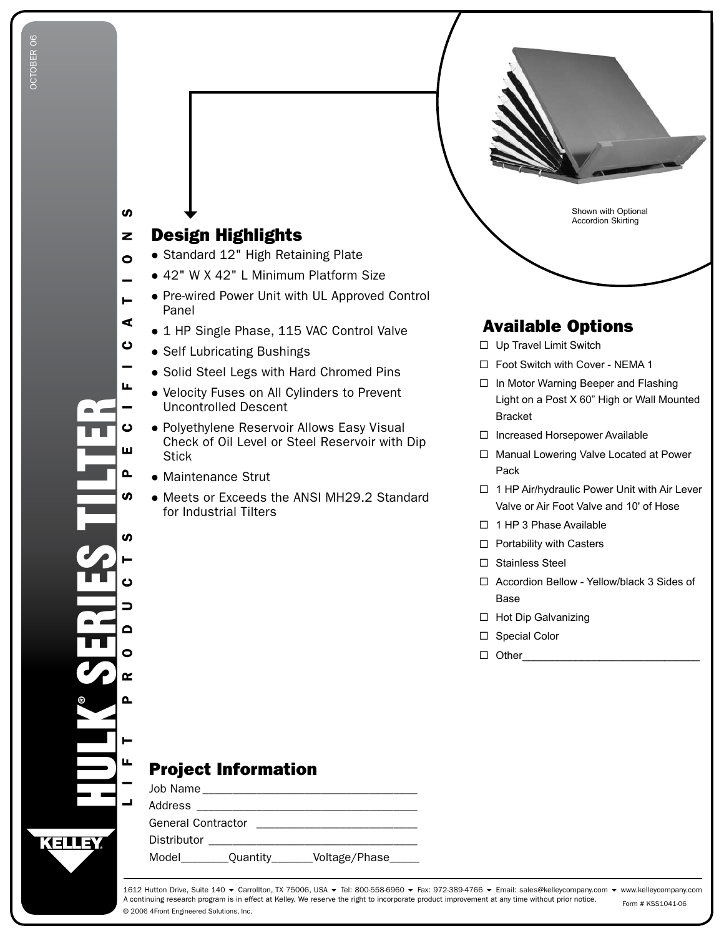

Panel

- **•** Self Lubricating Bushings
- **Solid Steel Legs with Hard Chromed Pins**
- Velocity Fuses on All Cylinders to Prevent Uncontrolled Descent
- Polyethylene Reservoir Allows Easy Visual Check of Oil Level or Steel Reservoir with Dip **Stick**
- Maintenance Strut
- Meets or Exceeds the ANSI MH29.2 Standard for Industrial Tilters
- Light on a Post X 60" High or Wall Mounted
- □ 1 HP Air/hydraulic Power Unit with Air Lever Valve or Air Foot Valve and 10' of Hose
- □ 1 HP 3 Phase Available
- □ Portability with Casters
- □ Stainless Steel
- □ Accordion Bellow Yellow/black 3 Sides of Base
- □ Hot Dip Galvanizing
- □ Special Color
- Other\_\_\_\_\_\_\_\_\_\_\_\_\_\_\_\_\_\_\_\_\_\_\_\_\_\_\_\_\_\_

## Project Information

|                           | Job Name __________________________ |                 |  |  |  |  |  |
|---------------------------|-------------------------------------|-----------------|--|--|--|--|--|
| Address                   |                                     |                 |  |  |  |  |  |
| <b>General Contractor</b> |                                     |                 |  |  |  |  |  |
| Distributor               |                                     |                 |  |  |  |  |  |
| Model                     | Quantity______                      | _Voltage/Phase_ |  |  |  |  |  |

© 2006 4Front Engineered Solutions, Inc. 1612 Hutton Drive, Suite 140 ▼ Carrollton, TX 75006, USA ▼ Tel: 800-558-6960 ▼ Fax: 972-389-4766 ▼ Email: sales@kelleycompany.com ▼ www.kelleycompany.com A continuing research program is in effect at Kelley. We reserve the right to incorporate product improvement at any time without prior notice. Form # KSS1041-06

CIFICI SERIES TILTER -Õ E $\mathbf{\Omega}$ L I F T S S S S S S S D O Q Q A L L T S **S** S Õ  $\Rightarrow$  $\triangle$  $\bullet$  $\mathbf{r}$ Δ. ®HULK Щ KELLEY

A

ပ

ш

O<br>I<br>E

Н

z  $\boldsymbol{\omega}$ 

 $\bullet$